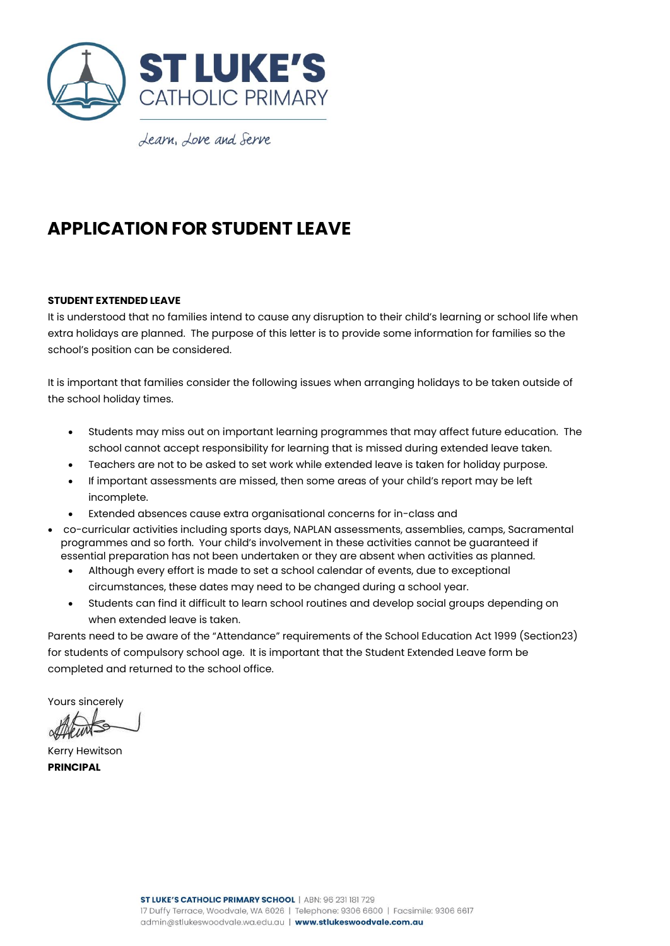

Learn, Love and Serve

## **APPLICATION FOR STUDENT LEAVE**

## **STUDENT EXTENDED LEAVE**

It is understood that no families intend to cause any disruption to their child's learning or school life when extra holidays are planned. The purpose of this letter is to provide some information for families so the school's position can be considered.

It is important that families consider the following issues when arranging holidays to be taken outside of the school holiday times.

- Students may miss out on important learning programmes that may affect future education. The school cannot accept responsibility for learning that is missed during extended leave taken.
- Teachers are not to be asked to set work while extended leave is taken for holiday purpose.
- If important assessments are missed, then some areas of your child's report may be left incomplete.
- Extended absences cause extra organisational concerns for in-class and
- co-curricular activities including sports days, NAPLAN assessments, assemblies, camps, Sacramental programmes and so forth. Your child's involvement in these activities cannot be guaranteed if essential preparation has not been undertaken or they are absent when activities as planned.
	- Although every effort is made to set a school calendar of events, due to exceptional circumstances, these dates may need to be changed during a school year.
	- Students can find it difficult to learn school routines and develop social groups depending on when extended leave is taken.

Parents need to be aware of the "Attendance" requirements of the School Education Act 1999 (Section23) for students of compulsory school age. It is important that the Student Extended Leave form be completed and returned to the school office.

Yours sincerely

ag

Kerry Hewitson **PRINCIPAL**